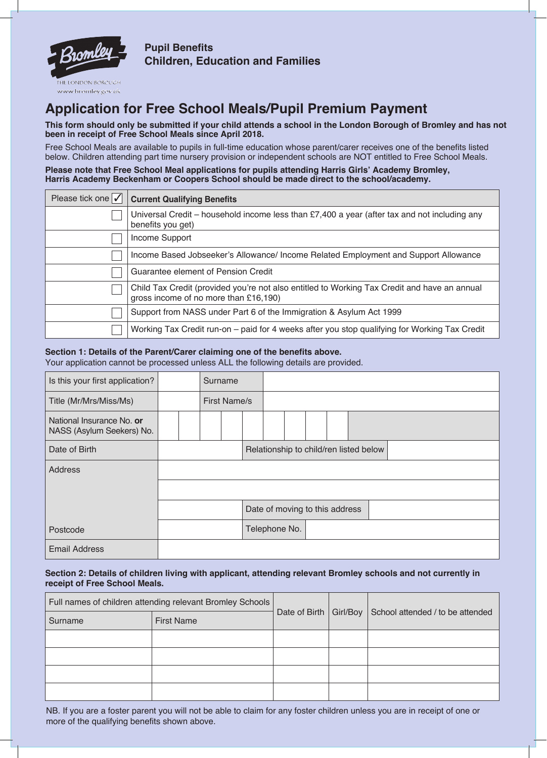

**Pupil Benefits Children, Education and Families**

# **Application for Free School Meals/Pupil Premium Payment**

**This form should only be submitted if your child attends a school in the London Borough of Bromley and has not been in receipt of Free School Meals since April 2018.**

Free School Meals are available to pupils in full-time education whose parent/carer receives one of the benefits listed below. Children attending part time nursery provision or independent schools are NOT entitled to Free School Meals.

**Please note that Free School Meal applications for pupils attending Harris Girls' Academy Bromley, Harris Academy Beckenham or Coopers School should be made direct to the school/academy.**

| Please tick one $\sqrt{\phantom{a}}$ | <b>Current Qualifying Benefits</b>                                                                                                    |
|--------------------------------------|---------------------------------------------------------------------------------------------------------------------------------------|
|                                      | Universal Credit - household income less than £7,400 a year (after tax and not including any<br>benefits you get)                     |
|                                      | Income Support                                                                                                                        |
|                                      | Income Based Jobseeker's Allowance/ Income Related Employment and Support Allowance                                                   |
|                                      | Guarantee element of Pension Credit                                                                                                   |
|                                      | Child Tax Credit (provided you're not also entitled to Working Tax Credit and have an annual<br>gross income of no more than £16,190) |
|                                      | Support from NASS under Part 6 of the Immigration & Asylum Act 1999                                                                   |
|                                      | Working Tax Credit run-on – paid for 4 weeks after you stop qualifying for Working Tax Credit                                         |

## **Section 1: Details of the Parent/Carer claiming one of the benefits above.**

Your application cannot be processed unless ALL the following details are provided.

| Is this your first application?                        |  | Surname |                     |                                        |  |                                |  |  |  |  |  |  |  |  |  |
|--------------------------------------------------------|--|---------|---------------------|----------------------------------------|--|--------------------------------|--|--|--|--|--|--|--|--|--|
| Title (Mr/Mrs/Miss/Ms)                                 |  |         | <b>First Name/s</b> |                                        |  |                                |  |  |  |  |  |  |  |  |  |
| National Insurance No. or<br>NASS (Asylum Seekers) No. |  |         |                     |                                        |  |                                |  |  |  |  |  |  |  |  |  |
| Date of Birth                                          |  |         |                     | Relationship to child/ren listed below |  |                                |  |  |  |  |  |  |  |  |  |
| <b>Address</b>                                         |  |         |                     |                                        |  |                                |  |  |  |  |  |  |  |  |  |
|                                                        |  |         |                     |                                        |  |                                |  |  |  |  |  |  |  |  |  |
|                                                        |  |         |                     |                                        |  | Date of moving to this address |  |  |  |  |  |  |  |  |  |
| Postcode                                               |  |         |                     |                                        |  | Telephone No.                  |  |  |  |  |  |  |  |  |  |
| <b>Email Address</b>                                   |  |         |                     |                                        |  |                                |  |  |  |  |  |  |  |  |  |

## **Section 2: Details of children living with applicant, attending relevant Bromley schools and not currently in receipt of Free School Meals.**

|         | Full names of children attending relevant Bromley Schools |                          |  | School attended / to be attended |  |  |  |  |
|---------|-----------------------------------------------------------|--------------------------|--|----------------------------------|--|--|--|--|
| Surname | <b>First Name</b>                                         | Date of Birth   Girl/Boy |  |                                  |  |  |  |  |
|         |                                                           |                          |  |                                  |  |  |  |  |
|         |                                                           |                          |  |                                  |  |  |  |  |
|         |                                                           |                          |  |                                  |  |  |  |  |
|         |                                                           |                          |  |                                  |  |  |  |  |

NB. If you are a foster parent you will not be able to claim for any foster children unless you are in receipt of one or more of the qualifying benefits shown above.